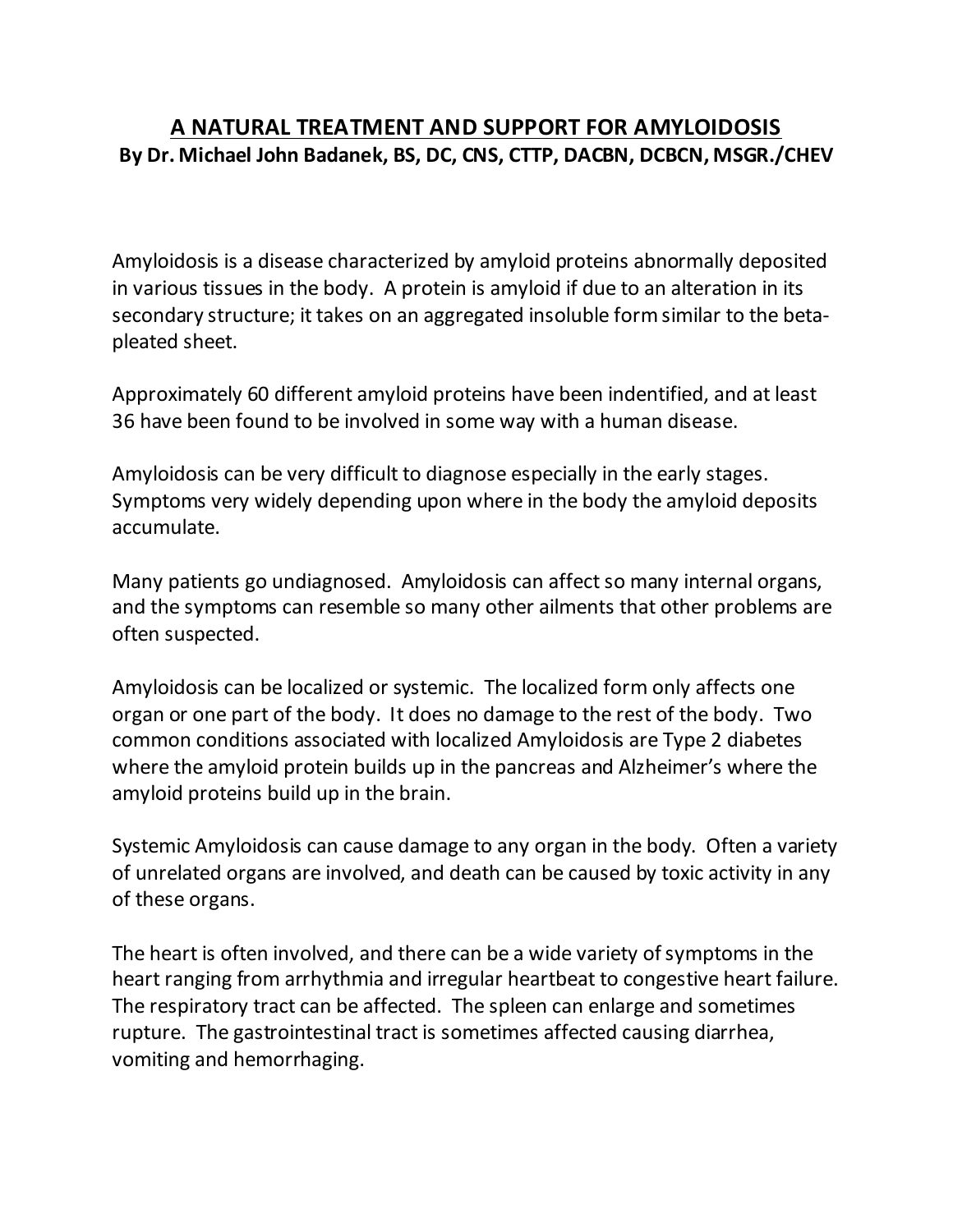## **A NATURAL TREATMENT AND SUPPORT FOR AMYLOIDOSIS By Dr. Michael John Badanek, BS, DC, CNS, CTTP, DACBN, DCBCN, MSGR./CHEV**

Amyloidosis is a disease characterized by amyloid proteins abnormally deposited in various tissues in the body. A protein is amyloid if due to an alteration in its secondary structure; it takes on an aggregated insoluble form similar to the betapleated sheet.

Approximately 60 different amyloid proteins have been indentified, and at least 36 have been found to be involved in some way with a human disease.

Amyloidosis can be very difficult to diagnose especially in the early stages. Symptoms very widely depending upon where in the body the amyloid deposits accumulate.

Many patients go undiagnosed. Amyloidosis can affect so many internal organs, and the symptoms can resemble so many other ailments that other problems are often suspected.

Amyloidosis can be localized or systemic. The localized form only affects one organ or one part of the body. It does no damage to the rest of the body. Two common conditions associated with localized Amyloidosis are Type 2 diabetes where the amyloid protein builds up in the pancreas and Alzheimer's where the amyloid proteins build up in the brain.

Systemic Amyloidosis can cause damage to any organ in the body. Often a variety of unrelated organs are involved, and death can be caused by toxic activity in any of these organs.

The heart is often involved, and there can be a wide variety of symptoms in the heart ranging from arrhythmia and irregular heartbeat to congestive heart failure. The respiratory tract can be affected. The spleen can enlarge and sometimes rupture. The gastrointestinal tract is sometimes affected causing diarrhea, vomiting and hemorrhaging.